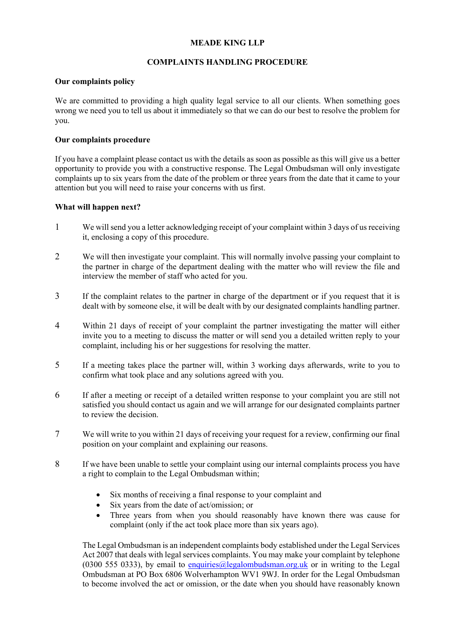# **MEADE KING LLP**

## **COMPLAINTS HANDLING PROCEDURE**

### **Our complaints policy**

We are committed to providing a high quality legal service to all our clients. When something goes wrong we need you to tell us about it immediately so that we can do our best to resolve the problem for you.

## **Our complaints procedure**

If you have a complaint please contact us with the details as soon as possible as this will give us a better opportunity to provide you with a constructive response. The Legal Ombudsman will only investigate complaints up to six years from the date of the problem or three years from the date that it came to your attention but you will need to raise your concerns with us first.

## **What will happen next?**

- 1 We will send you a letter acknowledging receipt of your complaint within 3 days of us receiving it, enclosing a copy of this procedure.
- 2 We will then investigate your complaint. This will normally involve passing your complaint to the partner in charge of the department dealing with the matter who will review the file and interview the member of staff who acted for you.
- 3 If the complaint relates to the partner in charge of the department or if you request that it is dealt with by someone else, it will be dealt with by our designated complaints handling partner.
- 4 Within 21 days of receipt of your complaint the partner investigating the matter will either invite you to a meeting to discuss the matter or will send you a detailed written reply to your complaint, including his or her suggestions for resolving the matter.
- 5 If a meeting takes place the partner will, within 3 working days afterwards, write to you to confirm what took place and any solutions agreed with you.
- 6 If after a meeting or receipt of a detailed written response to your complaint you are still not satisfied you should contact us again and we will arrange for our designated complaints partner to review the decision.
- 7 We will write to you within 21 days of receiving your request for a review, confirming our final position on your complaint and explaining our reasons.
- 8 If we have been unable to settle your complaint using our internal complaints process you have a right to complain to the Legal Ombudsman within;
	- Six months of receiving a final response to your complaint and
	- Six years from the date of act/omission; or
	- Three years from when you should reasonably have known there was cause for complaint (only if the act took place more than six years ago).

The Legal Ombudsman is an independent complaints body established under the Legal Services Act 2007 that deals with legal services complaints. You may make your complaint by telephone (0300 555 0333), by email to [enquiries@legalombudsman.org.uk](mailto:enquiries@legalombudsman.org.uk) or in writing to the Legal Ombudsman at PO Box 6806 Wolverhampton WV1 9WJ. In order for the Legal Ombudsman to become involved the act or omission, or the date when you should have reasonably known